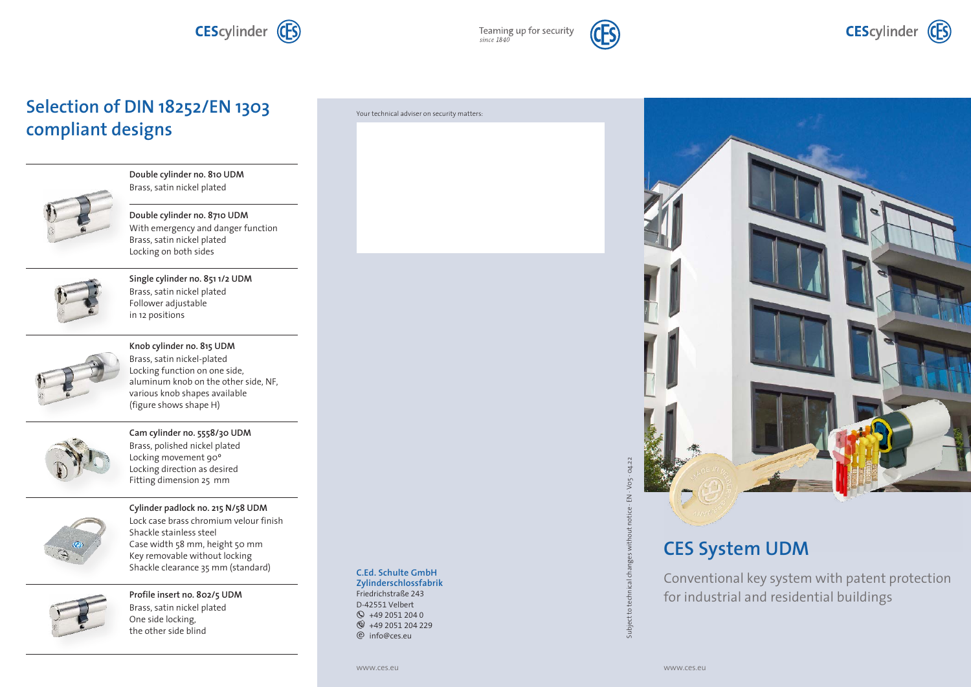Teaming up for security<br>since 1840



### **Selection of DIN 18252/EN 1303 compliant designs**



**Double cylinder no. 810 UDM** Brass, satin nickel plated

**Double cylinder no. 8710 UDM** With emergency and danger function Brass, satin nickel plated Locking on both sides



**Single cylinder no. 851 1/2 UDM** Brass, satin nickel plated Follower adjustable in 12 positions



**Knob cylinder no. 815 UDM** Brass, satin nickel-plated Locking function on one side, aluminum knob on the other side, NF, various knob shapes available (figure shows shape H)



**Cam cylinder no. 5558/30 UDM** Brass, polished nickel plated Locking movement 90º Locking direction as desired Fitting dimension 25 mm



**Cylinder padlock no. 215 N/58 UDM** Lock case brass chromium velour finish Shackle stainless steel Case width 58 mm, height 50 mm Key removable without locking Shackle clearance 35 mm (standard)



**Profile insert no. 802/5 UDM** Brass, satin nickel plated One side locking, the other side blind

#### Your technical adviser on security matters:

**Zylinderschlossfabrik** Friedrichstraße 243 D-42551 Velbert

**C.Ed. Schulte GmbH**

 $Q$  +49 2051 204 0  $\circ$  +49 2051 204 229 e info@ces.eu



# **CES System UDM**

Conventional key system with patent protection for industrial and residential buildings

Ĕ

Subject to t